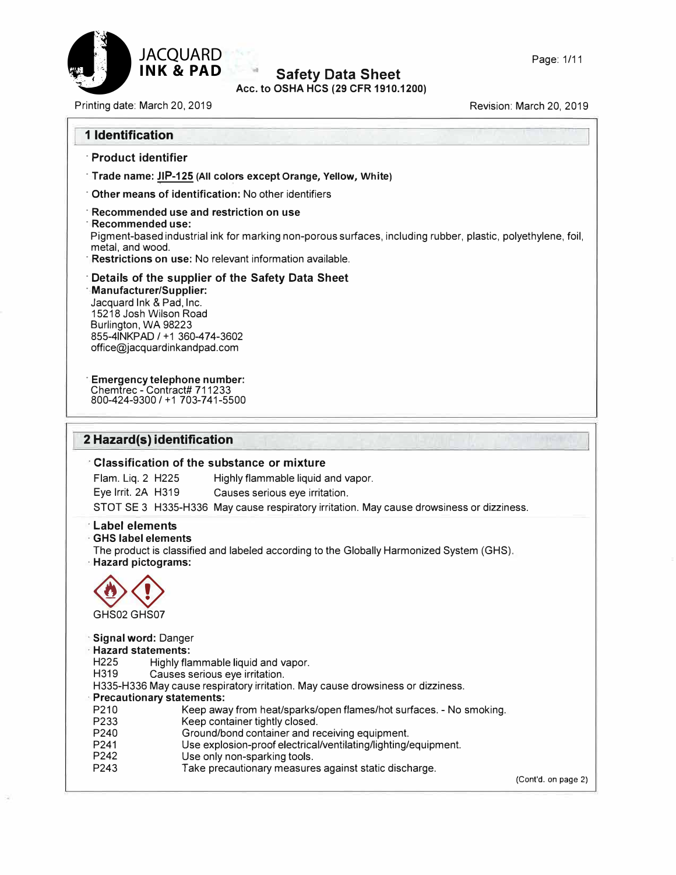

#### $\alpha$ **Safety Data Sheet Acc. to OSHA HCS (29 CFR 1910.1200)**

Printing date: March 20, 2019 **Printing date: March 20, 2019** 

| · Product identifier                                                                                                                                                                                                                                      |
|-----------------------------------------------------------------------------------------------------------------------------------------------------------------------------------------------------------------------------------------------------------|
| Trade name: JIP-125 (All colors except Orange, Yellow, White)                                                                                                                                                                                             |
| Other means of identification: No other identifiers                                                                                                                                                                                                       |
| Recommended use and restriction on use<br>Recommended use:<br>Pigment-based industrial ink for marking non-porous surfaces, including rubber, plastic, polyethylene, foil,<br>metal, and wood.<br>Restrictions on use: No relevant information available. |
| Details of the supplier of the Safety Data Sheet<br><b>Manufacturer/Supplier:</b><br>Jacquard Ink & Pad, Inc.<br>15218 Josh Wilson Road<br>Burlington, WA 98223<br>855-4INKPAD / +1 360-474-3602<br>office@jacquardinkandpad.com                          |
| <b>Emergency telephone number:</b><br>Chemtrec - Contract# 711233<br>800-424-9300 / +1 703-741-5500                                                                                                                                                       |
|                                                                                                                                                                                                                                                           |
| 2 Hazard(s) identification                                                                                                                                                                                                                                |
| <b>Classification of the substance or mixture</b><br>Flam. Liq. 2 H225<br>Highly flammable liquid and vapor.<br>Eye Irrit. 2A H319<br>Causes serious eye irritation.                                                                                      |
| STOT SE 3 H335-H336 May cause respiratory irritation. May cause drowsiness or dizziness.                                                                                                                                                                  |
| <b>Label elements</b><br><b>GHS label elements</b><br>The product is classified and labeled according to the Globally Harmonized System (GHS).<br><b>Hazard pictograms:</b><br>GHS02 GHS07                                                                |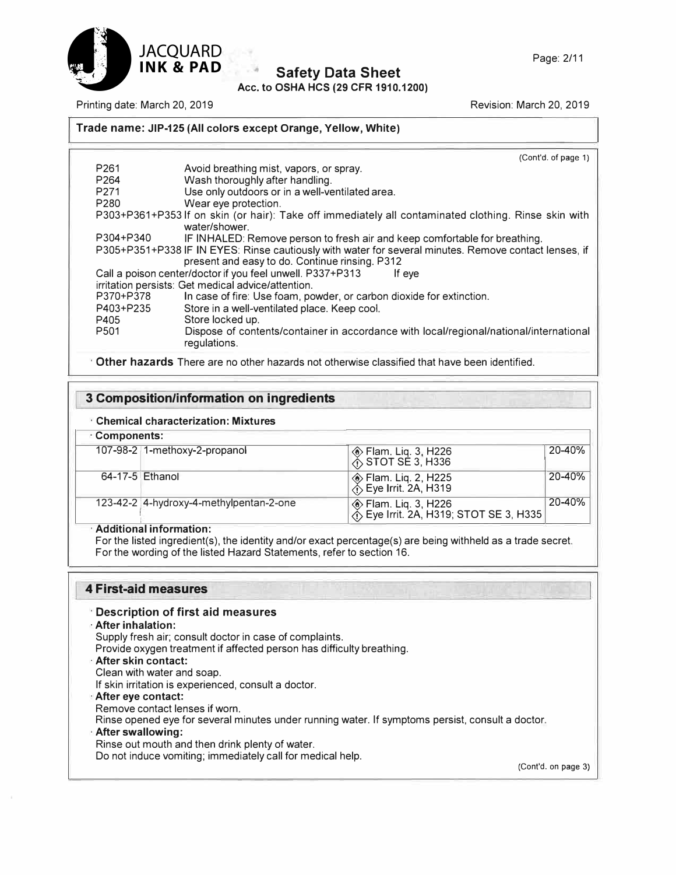

Page: 2/11

# **Safety Data Sheet**

**Acc. to OSHA HCS (29 CFR 1910.1200)** 

Printing date: March 20, 2019 Revision: March 20, 2019

### **Trade name: JIP-125 (All colors except Orange, Yellow, White)**

|                  | (Cont'd. of page 1)                                                                                                                                     |
|------------------|---------------------------------------------------------------------------------------------------------------------------------------------------------|
| P <sub>261</sub> | Avoid breathing mist, vapors, or spray.                                                                                                                 |
| P <sub>264</sub> | Wash thoroughly after handling.                                                                                                                         |
| P <sub>271</sub> | Use only outdoors or in a well-ventilated area.                                                                                                         |
| P280             | Wear eye protection.                                                                                                                                    |
|                  | P303+P361+P353 If on skin (or hair): Take off immediately all contaminated clothing. Rinse skin with<br>water/shower.                                   |
| P304+P340        | IF INHALED: Remove person to fresh air and keep comfortable for breathing.                                                                              |
|                  | P305+P351+P338 IF IN EYES: Rinse cautiously with water for several minutes. Remove contact lenses, if<br>present and easy to do. Continue rinsing. P312 |
|                  | Call a poison center/doctor if you feel unwell. P337+P313<br>If eve                                                                                     |
|                  | irritation persists: Get medical advice/attention.                                                                                                      |
| P370+P378        | In case of fire: Use foam, powder, or carbon dioxide for extinction.                                                                                    |
| P403+P235        | Store in a well-ventilated place. Keep cool.                                                                                                            |
| P405             | Store locked up.                                                                                                                                        |
| P <sub>501</sub> | Dispose of contents/container in accordance with local/regional/national/international<br>regulations.                                                  |
|                  |                                                                                                                                                         |

· **Other hazards** There are no other hazards not otherwise classified that have been identified.

### **3 Composition/information on ingredients**

### **· Chemical characterization: Mixtures**

|  | · Components: |  |
|--|---------------|--|
|--|---------------|--|

| 107-98-2 1-methoxy-2-propanol           | ◈ Flam. Liq. 3, H226<br>☆ STOT SE 3, H336                        | 20-40% |
|-----------------------------------------|------------------------------------------------------------------|--------|
| 64-17-5 Ethanol                         | ◈ Flam. Liq. 2, H225<br>  <sub>①</sub> Eye Irrit. 2A, H319       | 20-40% |
| 123-42-2 4-hydroxy-4-methylpentan-2-one | ◈ Flam. Liq. 3, H226<br>  尒 Eye Irrit. 2A, H319; STOT SE 3, H335 | 20-40% |

### **· Additional information:**

For the listed ingredient(s), the identity and/or exact percentage(s) are being withheld as a trade secret. For the wording of the listed Hazard Statements, refer to section 16.

### **4 First-aid measures**

### · **Description of first aid measures**

**· After inhalation:**

Supply fresh air; consult doctor in case of complaints.

- Provide oxygen treatment if affected person has difficulty breathing.
- **· After skin contact:**
- Clean with water and soap.

If skin irritation is experienced, consult a doctor.

- **· After eye contact:**
- Remove contact lenses if worn.

Rinse opened eye for several minutes under running water. If symptoms persist, consult a doctor.

**· After swallowing:**

Rinse out mouth and then drink plenty of water.

Do not induce vomiting; immediately call for medical help.

(Cont'd. on page 3)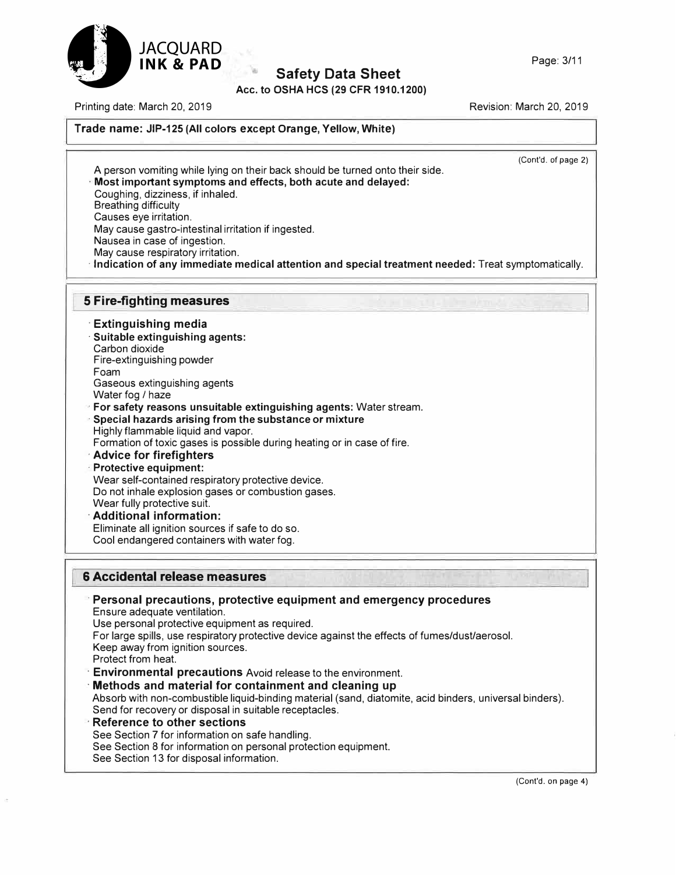

**Acc. to OSHA HCS (29 CFR 1910.1200)** 

Printing date: March 20, 2019

Revision: March 20, 2019

### **Trade name: JIP-125 (All colors except Orange, Yellow, White)**

(Cont'd. of page 2)

A person vomiting while lying on their back should be turned onto their side. **· Most important symptoms and effects, both acute and delayed:** Coughing, dizziness, if inhaled. Breathing difficulty Causes eye irritation. May cause gastro-intestinal irritation if ingested. Nausea in case of ingestion. May cause respiratory irritation.

**· Indication of any immediate medical attention and special treatment needed:** Treat symptomatically.

### **5 Fire-fighting measures**

**· Extinguishing media · Suitable extinguishing agents:** Carbon dioxide

Fire-extinguishing powder Foam Gaseous extinguishing agents

Water fog *I* haze

**· For safety reasons unsuitable extinguishing agents:** Water stream.

**· Special hazards arising from the substance or mixture** Highly flammable liquid and vapor.

Formation of toxic gases is possible during heating or in case of fire.

### **· Advice for firefighters**

**· Protective equipment:** Wear self-contained respiratory protective device. Do not inhale explosion gases or combustion gases. Wear fully protective suit.

**· Additional information:** Eliminate all ignition sources if safe to do so. Cool endangered containers with water fog.

### **6 Accidental release measures**

**· Personal precautions, protective equipment and emergency procedures** Ensure adequate ventilation. Use personal protective equipment as required. For large spills, use respiratory protective device against the effects of fumes/dust/aerosol. Keep away from ignition sources. Protect from heat. **· Environmental precautions** Avoid release to the environment. **· Methods and material for containment and cleaning up** Absorb with non-combustible liquid-binding material (sand, diatomite, acid binders, universal binders). Send for recovery or disposal in suitable receptacles. **· Reference to other sections** See Section 7 for information on safe handling.

- See Section 8 for information on personal protection equipment.
- See Section 13 for disposal information.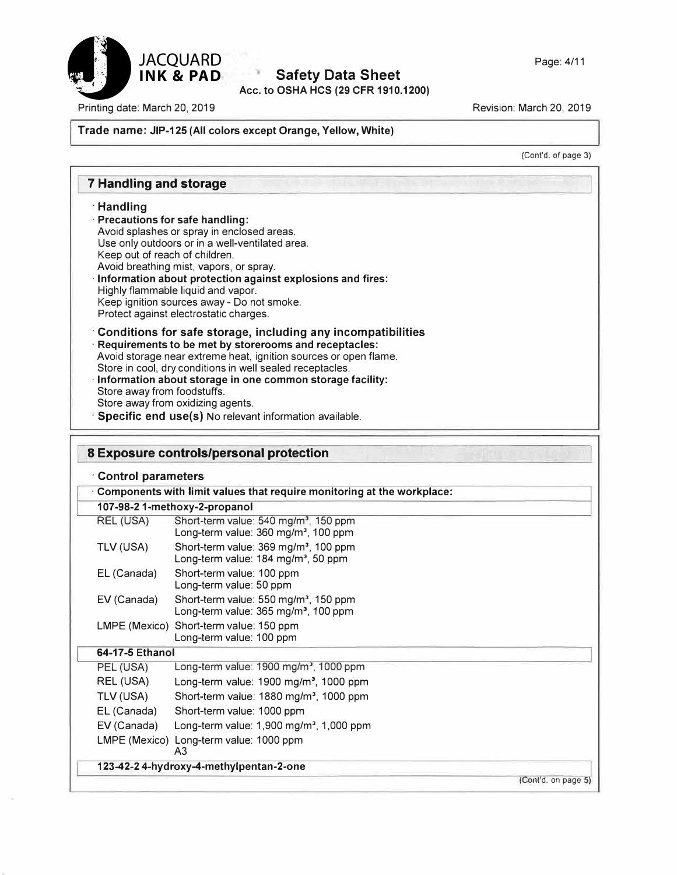

**Acc. to OSHA HCS (29 CFR 1910.1200)** 

Printing date: March 20, 2019

Revision: March 20, 2019

#### **Trade name: JIP-125 (All colors except Orange, Yellow, White)**

(Cont'd. of page 3)

### **7 Handling and storage**

#### **· Handling**

- **· Precautions for safe handling:** Avoid splashes or spray in enclosed areas. Use only outdoors or in a well-ventilated area. Keep out of reach of children. Avoid breathing mist, vapors, or spray.
- **· Information about protection against explosions and fires:** Highly flammable liquid and vapor. Keep ignition sources away - Do not smoke. Protect against electrostatic charges.
- **· Conditions for safe storage, including any incompatibilities · Requirements to be met by storerooms and receptacles:** Avoid storage near extreme heat, ignition sources or open flame. Store in cool, dry conditions in well sealed receptacles.
- **· Information about storage in one common storage facility:** Store away from foodstuffs. Store away from oxidizing agents.
- **· Specific end use(s)** No relevant information available.

### **8 Exposure controls/personal protection · Control parameters · Components with limit values that require monitoring at the workplace: 107-98-2 1-methoxy-2-propanol** REL (USA) Short-term value: 540 mg/m<sup>3</sup>, 150 ppm Long-term value: 360 mg/m<sup>3</sup>, 100 ppm TLV (USA) Short-term value: 369 mg/m<sup>3</sup>, 100 ppm Long-term value: 184 mg/m<sup>3</sup>, 50 ppm EL (Canada) Short-term value: 100 ppm Long-term value: 50 ppm EV (Canada) Short-term value: 550 mg/m<sup>3</sup>, 150 ppm Long-term value: 365 mg/m<sup>3</sup>, 100 ppm LMPE (Mexico) Short-term value: 150 ppm Long-term value: 100 ppm **64-17-5 Ethanol** PEL (USA) Long-term value: 1900 mg/m<sup>3</sup>, 1000 ppm REL (USA) Long-term value: 1900 mg/m<sup>3</sup>, 1000 ppm TLV (USA) Short-term value: 1880 mg/m<sup>3</sup>, 1000 ppm EL (Canada) Short-term value: 1000 ppm EV (Canada) Long-term value: 1,900 mg/m<sup>3</sup>, 1,000 ppm LMPE (Mexico) Long-term value: 1000 ppm A3 **123-42-2 4-hydroxy-4-methylpentan-2-one**  (Cont'd. on page 5)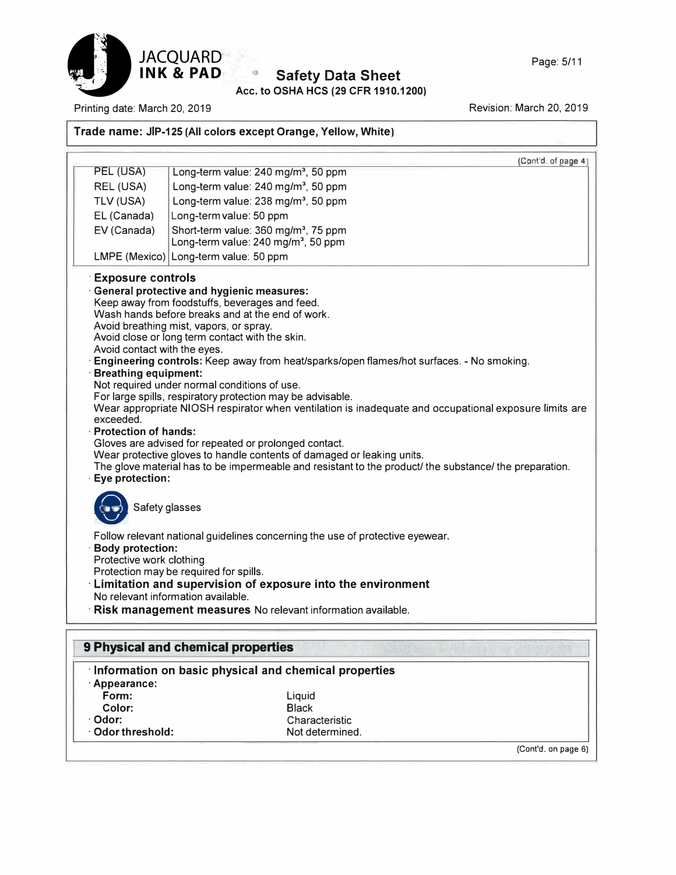

### **Acc. to OSHA HCS (29 CFR 1910.1200) Safety Data Sheet**

Printing date: March 20, 2019

**· Odor:**

**· Odor threshold:**

Revision: March 20, 2019

### **Trade name: JIP-125 (All colors except Orange, Yellow, White)**

|                                                                                                                                                                                                                                 | (Cont'd. of page 4)                                                                                                                                                                                                                                                                                                                                                                                                                                                                                                                                                                                                                                                                                                                                                                                                                                                                                                                                                                                                                                                                                                               |
|---------------------------------------------------------------------------------------------------------------------------------------------------------------------------------------------------------------------------------|-----------------------------------------------------------------------------------------------------------------------------------------------------------------------------------------------------------------------------------------------------------------------------------------------------------------------------------------------------------------------------------------------------------------------------------------------------------------------------------------------------------------------------------------------------------------------------------------------------------------------------------------------------------------------------------------------------------------------------------------------------------------------------------------------------------------------------------------------------------------------------------------------------------------------------------------------------------------------------------------------------------------------------------------------------------------------------------------------------------------------------------|
| PEL (USA)                                                                                                                                                                                                                       | Long-term value: 240 mg/m <sup>3</sup> , 50 ppm                                                                                                                                                                                                                                                                                                                                                                                                                                                                                                                                                                                                                                                                                                                                                                                                                                                                                                                                                                                                                                                                                   |
| REL (USA)                                                                                                                                                                                                                       | Long-term value: 240 mg/m <sup>3</sup> , 50 ppm                                                                                                                                                                                                                                                                                                                                                                                                                                                                                                                                                                                                                                                                                                                                                                                                                                                                                                                                                                                                                                                                                   |
| TLV (USA)                                                                                                                                                                                                                       | Long-term value: 238 mg/m <sup>3</sup> , 50 ppm                                                                                                                                                                                                                                                                                                                                                                                                                                                                                                                                                                                                                                                                                                                                                                                                                                                                                                                                                                                                                                                                                   |
| EL (Canada)                                                                                                                                                                                                                     | Long-term value: 50 ppm                                                                                                                                                                                                                                                                                                                                                                                                                                                                                                                                                                                                                                                                                                                                                                                                                                                                                                                                                                                                                                                                                                           |
| EV (Canada)                                                                                                                                                                                                                     | Short-term value: 360 mg/m <sup>3</sup> , 75 ppm                                                                                                                                                                                                                                                                                                                                                                                                                                                                                                                                                                                                                                                                                                                                                                                                                                                                                                                                                                                                                                                                                  |
|                                                                                                                                                                                                                                 | Long-term value: 240 mg/m <sup>3</sup> , 50 ppm                                                                                                                                                                                                                                                                                                                                                                                                                                                                                                                                                                                                                                                                                                                                                                                                                                                                                                                                                                                                                                                                                   |
|                                                                                                                                                                                                                                 | LMPE (Mexico) Long-term value: 50 ppm                                                                                                                                                                                                                                                                                                                                                                                                                                                                                                                                                                                                                                                                                                                                                                                                                                                                                                                                                                                                                                                                                             |
| <b>Exposure controls</b><br>Avoid contact with the eyes.<br><b>Breathing equipment:</b><br>exceeded.<br><b>Protection of hands:</b><br>Eye protection:<br>Safety glasses<br><b>Body protection:</b><br>Protective work clothing | <b>General protective and hygienic measures:</b><br>Keep away from foodstuffs, beverages and feed.<br>Wash hands before breaks and at the end of work.<br>Avoid breathing mist, vapors, or spray.<br>Avoid close or long term contact with the skin.<br>Engineering controls: Keep away from heat/sparks/open flames/hot surfaces. - No smoking.<br>Not required under normal conditions of use.<br>For large spills, respiratory protection may be advisable.<br>Wear appropriate NIOSH respirator when ventilation is inadequate and occupational exposure limits are<br>Gloves are advised for repeated or prolonged contact.<br>Wear protective gloves to handle contents of damaged or leaking units.<br>The glove material has to be impermeable and resistant to the product/ the substance/ the preparation.<br>Follow relevant national guidelines concerning the use of protective eyewear.<br>Protection may be required for spills.<br><b>Limitation and supervision of exposure into the environment</b><br>No relevant information available.<br><b>Risk management measures</b> No relevant information available. |
|                                                                                                                                                                                                                                 | <b>9 Physical and chemical properties</b>                                                                                                                                                                                                                                                                                                                                                                                                                                                                                                                                                                                                                                                                                                                                                                                                                                                                                                                                                                                                                                                                                         |
|                                                                                                                                                                                                                                 |                                                                                                                                                                                                                                                                                                                                                                                                                                                                                                                                                                                                                                                                                                                                                                                                                                                                                                                                                                                                                                                                                                                                   |
|                                                                                                                                                                                                                                 | Information on basic physical and chemical properties                                                                                                                                                                                                                                                                                                                                                                                                                                                                                                                                                                                                                                                                                                                                                                                                                                                                                                                                                                                                                                                                             |
| Appearance:                                                                                                                                                                                                                     |                                                                                                                                                                                                                                                                                                                                                                                                                                                                                                                                                                                                                                                                                                                                                                                                                                                                                                                                                                                                                                                                                                                                   |
| Form:<br>Color:                                                                                                                                                                                                                 | Liquid<br><b>Black</b>                                                                                                                                                                                                                                                                                                                                                                                                                                                                                                                                                                                                                                                                                                                                                                                                                                                                                                                                                                                                                                                                                                            |
|                                                                                                                                                                                                                                 |                                                                                                                                                                                                                                                                                                                                                                                                                                                                                                                                                                                                                                                                                                                                                                                                                                                                                                                                                                                                                                                                                                                                   |

Characteristic Not determined.

(Cont'd. on page 6)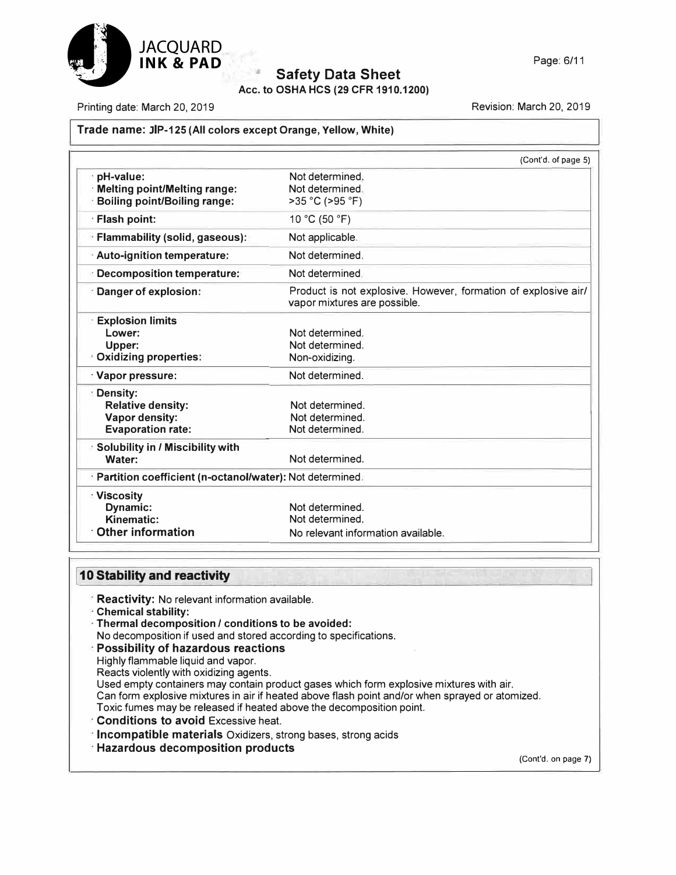

**Acc. to OSHA HCS (29 CFR 1910.1200)** 

Printing date: March 20, 2019

Revision: March 20, 2019

### **Trade name: JIP-125 (All colors except Orange, Yellow, White)**

|                                                                                             | (Cont'd. of page 5)                                                                            |
|---------------------------------------------------------------------------------------------|------------------------------------------------------------------------------------------------|
| pH-value:<br><b>Melting point/Melting range:</b><br><b>Boiling point/Boiling range:</b>     | Not determined.<br>Not determined.<br>>35 °C (>95 °F)                                          |
| <b>Flash point:</b>                                                                         | 10 °C (50 °F)                                                                                  |
| · Flammability (solid, gaseous):                                                            | Not applicable.                                                                                |
| Auto-ignition temperature:                                                                  | Not determined.                                                                                |
| <b>Decomposition temperature:</b>                                                           | Not determined                                                                                 |
| Danger of explosion:                                                                        | Product is not explosive. However, formation of explosive air/<br>vapor mixtures are possible. |
| <b>Explosion limits</b><br>Lower:<br>Upper:<br><b>Oxidizing properties:</b>                 | Not determined.<br>Not determined.<br>Non-oxidizing.                                           |
| Vapor pressure:                                                                             | Not determined.                                                                                |
| ⊧ Density:<br><b>Relative density:</b><br><b>Vapor density:</b><br><b>Evaporation rate:</b> | Not determined.<br>Not determined.<br>Not determined.                                          |
| <b>Solubility in / Miscibility with</b><br>Water:                                           | Not determined.                                                                                |
| · Partition coefficient (n-octanol/water): Not determined.                                  |                                                                                                |
| <b>Miscosity</b><br>Dynamic:<br>Kinematic:<br><b>Other information</b>                      | Not determined.<br>Not determined.<br>No relevant information available.                       |

### **110 Stability and reactivity**

- **· Reactivity:** No relevant information available.
- **· Chemical stability:**
- **- Thermal decomposition** *I* **conditions to be avoided:**
- No decomposition if used and stored according to specifications.
- **· Possibility of hazardous reactions**
- Highly flammable liquid and vapor.
- Reacts violently with oxidizing agents.
- Used empty containers may contain product gases which form explosive mixtures with air.
- Can form explosive mixtures in air if heated above flash point and/or when sprayed or atomized.
- Toxic fumes may be released if heated above the decomposition point.
- **· Conditions to avoid** Excessive heat.
- **· Incompatible materials** Oxidizers, strong bases, strong acids
- **· Hazardous decomposition products**

(Cont'd. on page 7)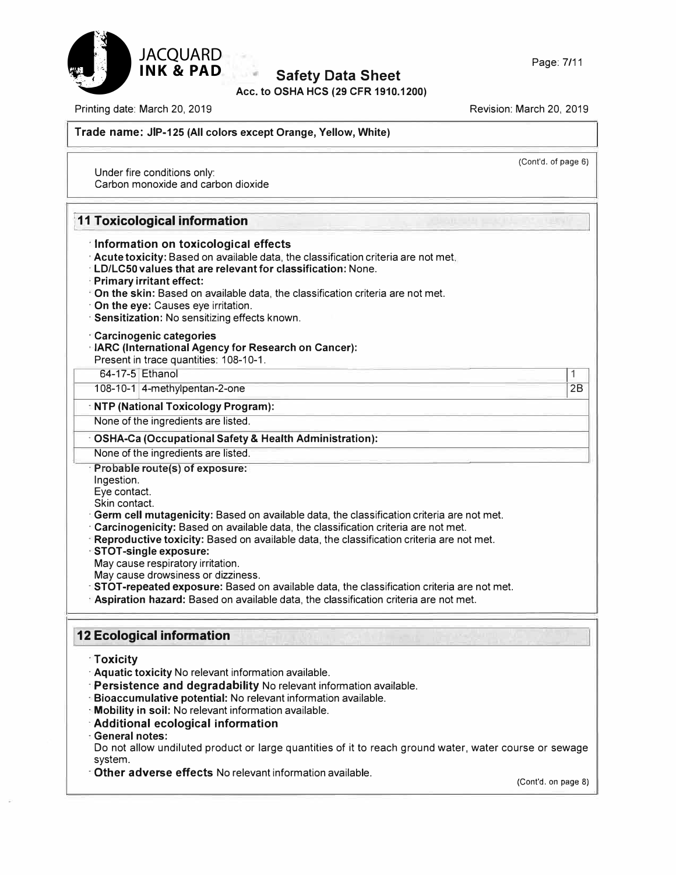

**Acc. to OSHA HCS (29 CFR 1910.1200)** 

(Cont'd. of page 6)

Printing date: March 20, 2019 **Printing date: March 20, 2019** 

### **Trade name: JIP-125 (All colors except Orange, Yellow, White)**

Under fire conditions only: Carbon monoxide and carbon dioxide

|                                               | <b>11 Toxicological information</b>                                                                                                                                                                                                                                                                                                                                                                                                                                                                                                                                           |    |
|-----------------------------------------------|-------------------------------------------------------------------------------------------------------------------------------------------------------------------------------------------------------------------------------------------------------------------------------------------------------------------------------------------------------------------------------------------------------------------------------------------------------------------------------------------------------------------------------------------------------------------------------|----|
|                                               | Information on toxicological effects<br>Acute toxicity: Based on available data, the classification criteria are not met,<br><b>LD/LC50 values that are relevant for classification: None.</b><br>Primary irritant effect:<br>On the skin: Based on available data, the classification criteria are not met.<br>On the eye: Causes eye irritation.<br>· Sensitization: No sensitizing effects known.<br><b>Carcinogenic categories</b>                                                                                                                                        |    |
|                                               | <b>IARC (International Agency for Research on Cancer):</b><br>Present in trace quantities: 108-10-1.                                                                                                                                                                                                                                                                                                                                                                                                                                                                          |    |
|                                               | 64-17-5 Ethanol                                                                                                                                                                                                                                                                                                                                                                                                                                                                                                                                                               | 1  |
|                                               | 108-10-1 4-methylpentan-2-one                                                                                                                                                                                                                                                                                                                                                                                                                                                                                                                                                 | 2B |
|                                               | <b>ENTP (National Toxicology Program):</b>                                                                                                                                                                                                                                                                                                                                                                                                                                                                                                                                    |    |
|                                               | None of the ingredients are listed.                                                                                                                                                                                                                                                                                                                                                                                                                                                                                                                                           |    |
|                                               | <b>OSHA-Ca (Occupational Safety &amp; Health Administration):</b>                                                                                                                                                                                                                                                                                                                                                                                                                                                                                                             |    |
|                                               | None of the ingredients are listed.                                                                                                                                                                                                                                                                                                                                                                                                                                                                                                                                           |    |
| Skin contact.                                 | Germ cell mutagenicity: Based on available data, the classification criteria are not met.<br>Carcinogenicity: Based on available data, the classification criteria are not met.<br>- Reproductive toxicity: Based on available data, the classification criteria are not met.<br><b>STOT-single exposure:</b><br>May cause respiratory irritation.<br>May cause drowsiness or dizziness.<br>STOT-repeated exposure: Based on available data, the classification criteria are not met.<br>Aspiration hazard: Based on available data, the classification criteria are not met. |    |
|                                               | <b>12 Ecological information</b>                                                                                                                                                                                                                                                                                                                                                                                                                                                                                                                                              |    |
| <b>Toxicity</b><br>⊪General notes:<br>system. | Aquatic toxicity No relevant information available.<br>Persistence and degradability No relevant information available.<br>Bioaccumulative potential: No relevant information available.<br>Mobility in soil: No relevant information available.<br>Additional ecological information<br>Do not allow undiluted product or large quantities of it to reach ground water, water course or sewage<br>Other adverse effects No relevant information available.                                                                                                                   |    |

(Cont'd. on page 8)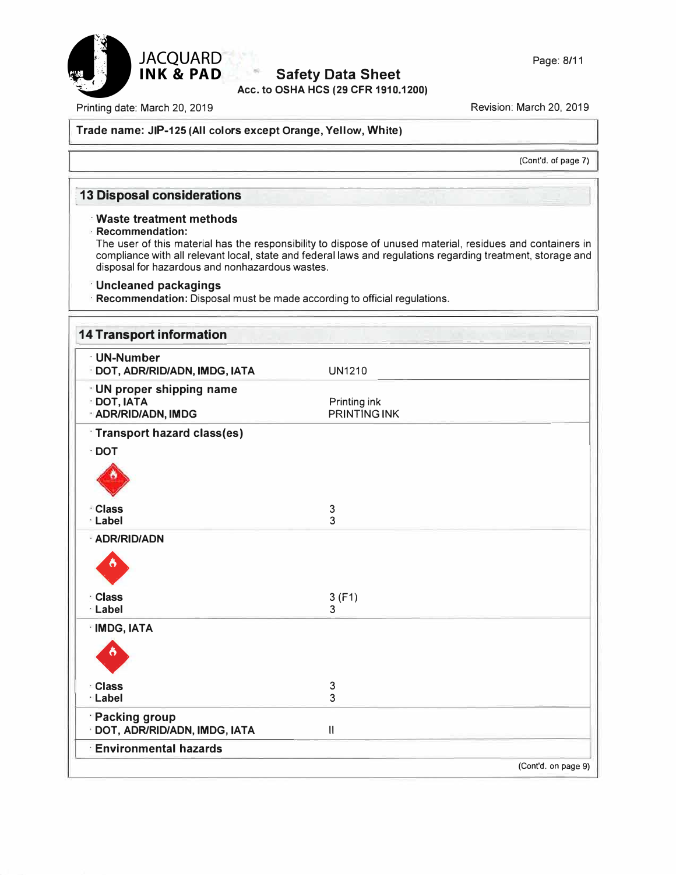

### **Acc. to OSHA HCS (29 CFR 1910.1200) Safety Data Sheet**

Page: 8/11

Printing date: March 20, 2019

Revision: March 20, 2019

### **Trade name: JIP-125 (All colors except Orange, Yellow, White)**

(Cont'd. of page 7)

### **l 13 Disposal considerations**

### **· Waste treatment methods**

**· Recommendation:**

The user of this material has the responsibility to dispose of unused material, residues and containers in compliance with all relevant local, state and federal laws and regulations regarding treatment, storage and disposal for hazardous and nonhazardous wastes.

### **· Uncleaned packagings**

**· Recommendation:** Disposal must be made according to official regulations.

| <b>UN1210</b>                       |                                    |
|-------------------------------------|------------------------------------|
| Printing ink<br><b>PRINTING INK</b> |                                    |
|                                     |                                    |
|                                     |                                    |
|                                     |                                    |
| $\ensuremath{\mathsf{3}}$           |                                    |
|                                     |                                    |
|                                     |                                    |
| 3(F1)                               |                                    |
|                                     |                                    |
|                                     |                                    |
| 3                                   |                                    |
|                                     |                                    |
| $\ensuremath{\mathsf{II}}$          |                                    |
|                                     |                                    |
|                                     | 3<br>3<br>3<br>(Cont'd. on page 9) |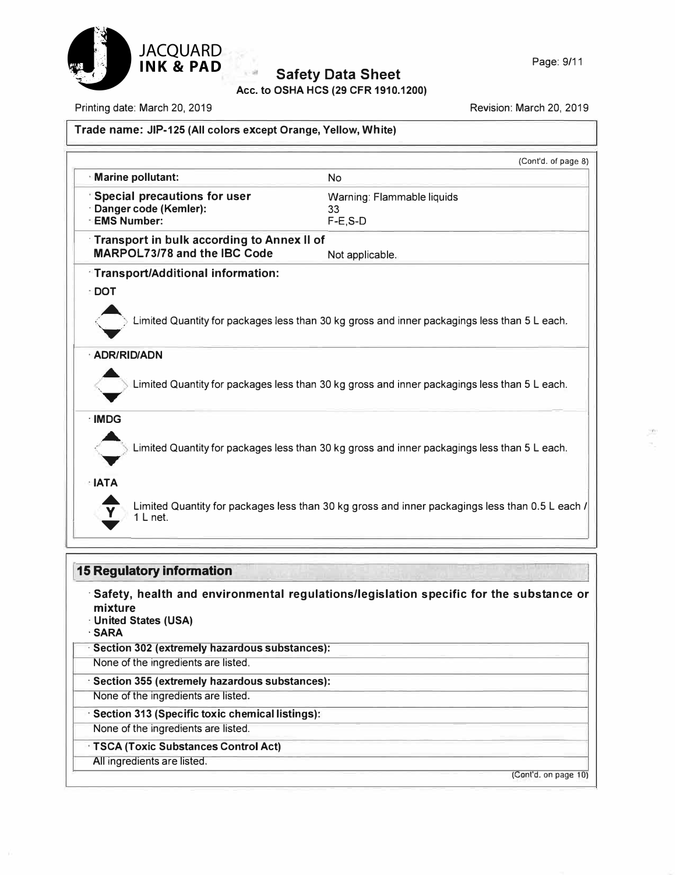

**Acc. to OSHA HCS (29 CFR 1910.1200)** 

Printing date: March 20, 2019

Revision: March 20, 2019

### **Trade name: JIP-125 (All colors except Orange, Yellow, White)**

|                    |                                                   | (Cont'd. of page 8)                                                                             |
|--------------------|---------------------------------------------------|-------------------------------------------------------------------------------------------------|
| Marine pollutant:  |                                                   | <b>No</b>                                                                                       |
|                    | Special precautions for user                      | Warning: Flammable liquids                                                                      |
|                    | Danger code (Kemler):                             | 33                                                                                              |
| <b>EMS Number:</b> |                                                   | $F-E$ , $S-D$                                                                                   |
|                    | <b>Transport in bulk according to Annex II of</b> |                                                                                                 |
|                    | <b>MARPOL73/78 and the IBC Code</b>               | Not applicable.                                                                                 |
|                    | <b>Transport/Additional information:</b>          |                                                                                                 |
| : DOT              |                                                   |                                                                                                 |
|                    |                                                   |                                                                                                 |
|                    |                                                   | Limited Quantity for packages less than 30 kg gross and inner packagings less than 5 L each.    |
| · ADR/RID/ADN      |                                                   |                                                                                                 |
|                    |                                                   | Limited Quantity for packages less than 30 kg gross and inner packagings less than 5 L each.    |
| · IMDG             |                                                   |                                                                                                 |
|                    |                                                   |                                                                                                 |
|                    |                                                   |                                                                                                 |
|                    |                                                   | Limited Quantity for packages less than 30 kg gross and inner packagings less than 5 L each.    |
|                    |                                                   |                                                                                                 |
|                    |                                                   |                                                                                                 |
| · IATA             |                                                   |                                                                                                 |
|                    | 1 L net.                                          |                                                                                                 |
|                    |                                                   | Limited Quantity for packages less than 30 kg gross and inner packagings less than 0.5 L each / |
|                    |                                                   |                                                                                                 |
|                    | <b>15 Regulatory information</b>                  |                                                                                                 |

- **mixture**
- **· United States (USA)**
- **·SARA**
- **· Section 302 (extremely hazardous substances):**
- None of the ingredients are listed.
- **· Section 355 (extremely hazardous substances):**
- None of the ingredients are listed.
- **· Section 313 (Specific toxic chemical listings):**
- None of the ingredients are listed.
	- **· TSCA (Toxic Substances Control Act)**
	- All ingredients are listed.

(Cont'd. on page 10)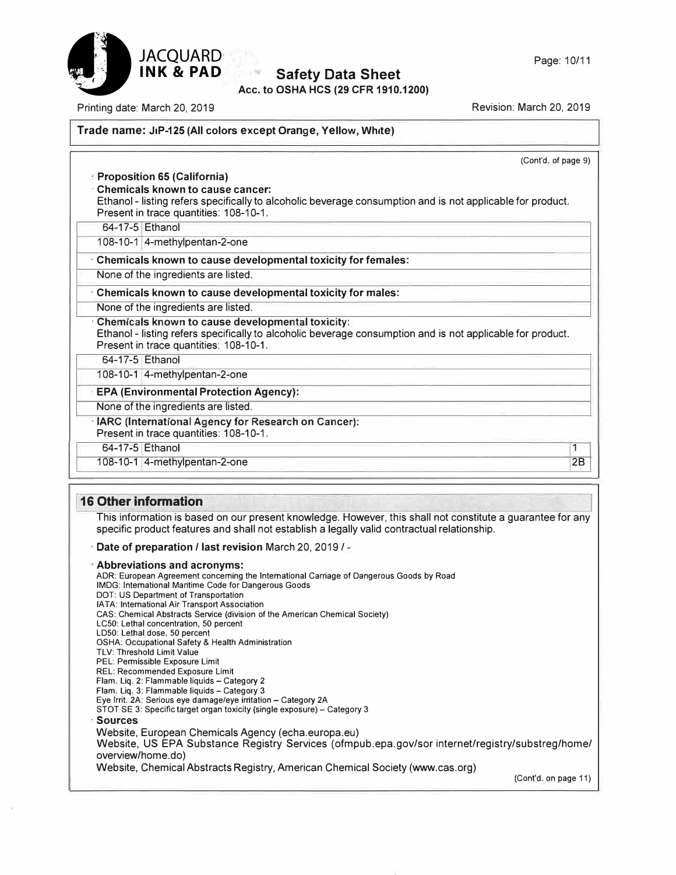

**Acc. to OSHA HCS (29 CFR 1910.1200)** 

Printing date: March 20, 2019 Revision: March 20, 2019

**JACQUARD** 

### **Trade name: JIP-125 (All colors except Orange, Yellow, White)**

| (Cont'd. of page 9)                                                                                                                                                                                                                   |
|---------------------------------------------------------------------------------------------------------------------------------------------------------------------------------------------------------------------------------------|
| <b>Proposition 65 (California)</b><br><b>Chemicals known to cause cancer:</b><br>Ethanol - listing refers specifically to alcoholic beverage consumption and is not applicable for product.<br>Present in trace quantities: 108-10-1. |
| 64-17-5 Ethanol                                                                                                                                                                                                                       |
| 108-10-1 4-methylpentan-2-one                                                                                                                                                                                                         |
| Chemicals known to cause developmental toxicity for females:                                                                                                                                                                          |
| None of the ingredients are listed.                                                                                                                                                                                                   |
| Chemicals known to cause developmental toxicity for males:                                                                                                                                                                            |
| None of the ingredients are listed.                                                                                                                                                                                                   |
| Chemicals known to cause developmental toxicity:<br>Ethanol - listing refers specifically to alcoholic beverage consumption and is not applicable for product.<br>Present in trace quantities: 108-10-1.                              |
| 64-17-5 Ethanol                                                                                                                                                                                                                       |
| 108-10-1 4-methylpentan-2-one                                                                                                                                                                                                         |
| <b>EPA (Environmental Protection Agency):</b>                                                                                                                                                                                         |
| None of the ingredients are listed.                                                                                                                                                                                                   |
| · IARC (International Agency for Research on Cancer):<br>Present in trace quantities: 108-10-1.                                                                                                                                       |
| 64-17-5 Ethanol<br>1                                                                                                                                                                                                                  |
| 2B<br>108-10-1 4-methylpentan-2-one                                                                                                                                                                                                   |

### **I 16 Other information**

This information is based on our present knowledge. However, this shall not constitute a guarantee for any specific product features and shall not establish a legally valid contractual relationship.

· **Date of preparation/ last revision** March 20, 2019 / -

· **Abbreviations and acronyms:** ADR: European Agreement concerning the International Carriage of Dangerous Goods by Road IMDG: International Maritime Code for Dangerous Goods DOT: US Department of Transportation IA TA: International Air Transport Association CAS: Chemical Abstracts Service (division of the American Chemical Society) LC50: Lethal concentration, 50 percent LD50: Lethal dose, 50 percent OSHA: Occupational Safety & Health Administration TLV: Threshold Limit Value PEL: Permissible Exposure Limit REL: Recommended Exposure Limit Flam. Liq. 2: Flammable liquids - Category 2 Flam. Liq. 3: Flammable liquids - Category 3 Eye Irrit. 2A: Serious eye damage/eye irritation - Category 2A STOT SE 3: Specific target organ toxicity (single exposure) - Category 3 · **Sources** Website, European Chemicals Agency (echa.europa.eu) Website, US EPA Substance Registry Services ( ofmpub.epa.gov/sor internet/registry/substreg/home/ overview/home. do) Website, Chemical Abstracts Registry, American Chemical Society (www.cas.org) (Cont'd. on page 11)